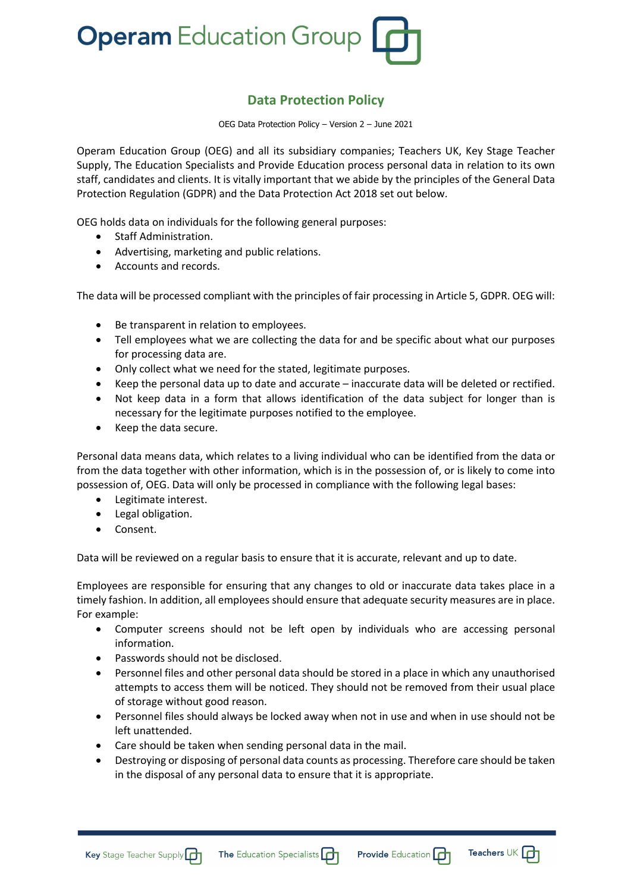

## **Data Protection Policy**

OEG Data Protection Policy – Version 2 – June 2021

Operam Education Group (OEG) and all its subsidiary companies; Teachers UK, Key Stage Teacher Supply, The Education Specialists and Provide Education process personal data in relation to its own staff, candidates and clients. It is vitally important that we abide by the principles of the General Data Protection Regulation (GDPR) and the Data Protection Act 2018 set out below.

OEG holds data on individuals for the following general purposes:

- Staff Administration.
- Advertising, marketing and public relations.
- Accounts and records.

The data will be processed compliant with the principles of fair processing in Article 5, GDPR. OEG will:

- Be transparent in relation to employees.
- Tell employees what we are collecting the data for and be specific about what our purposes for processing data are.
- Only collect what we need for the stated, legitimate purposes.
- Keep the personal data up to date and accurate inaccurate data will be deleted or rectified.
- Not keep data in a form that allows identification of the data subject for longer than is necessary for the legitimate purposes notified to the employee.
- Keep the data secure.

Personal data means data, which relates to a living individual who can be identified from the data or from the data together with other information, which is in the possession of, or is likely to come into possession of, OEG. Data will only be processed in compliance with the following legal bases:

- Legitimate interest.
- Legal obligation.
- Consent.

Data will be reviewed on a regular basis to ensure that it is accurate, relevant and up to date.

Employees are responsible for ensuring that any changes to old or inaccurate data takes place in a timely fashion. In addition, all employees should ensure that adequate security measures are in place. For example:

- Computer screens should not be left open by individuals who are accessing personal information.
- Passwords should not be disclosed.
- Personnel files and other personal data should be stored in a place in which any unauthorised attempts to access them will be noticed. They should not be removed from their usual place of storage without good reason.
- Personnel files should always be locked away when not in use and when in use should not be left unattended.
- Care should be taken when sending personal data in the mail.
- Destroying or disposing of personal data counts as processing. Therefore care should be taken in the disposal of any personal data to ensure that it is appropriate.





Teachers UK